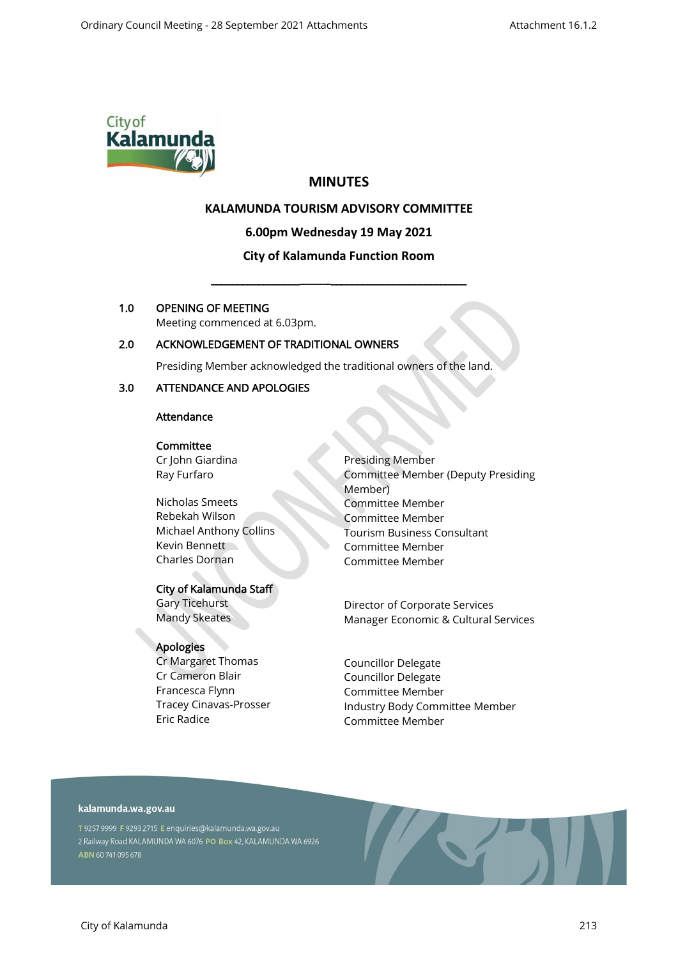

# **MINUTES**

## **KALAMUNDA TOURISM ADVISORY COMMITTEE**

**6.00pm Wednesday 19 May 2021**

# **City of Kalamunda Function Room**

\_\_\_\_\_\_\_\_\_\_\_\_\_\_\_\_\_\_\_\_\_\_\_\_\_\_\_\_\_\_\_\_\_\_\_\_\_\_\_\_\_\_\_\_\_\_\_\_\_\_\_\_

### 1.0 OPENING OF MEETING

Meeting commenced at 6.03pm.

## 2.0 ACKNOWLEDGEMENT OF TRADITIONAL OWNERS

Presiding Member acknowledged the traditional owners of the land.

## 3.0 ATTENDANCE AND APOLOGIES

### Attendance

#### **Committee**

Cr John Giardina Ray Furfaro

Nicholas Smeets Rebekah Wilson Michael Anthony Collins Kevin Bennett Charles Dornan

### City of Kalamunda Staff

Gary Ticehurst Mandy Skeates

## Apologies

Cr Margaret Thomas Cr Cameron Blair Francesca Flynn Tracey Cinavas-Prosser Eric Radice

Presiding Member Committee Member (Deputy Presiding Member) Committee Member Committee Member Tourism Business Consultant Committee Member Committee Member

Director of Corporate Services Manager Economic & Cultural Services

Councillor Delegate Councillor Delegate Committee Member Industry Body Committee Member Committee Member

## kalamunda.wa.gov.au

T 9257 9999 F 9293 2715 E enquiries@kalamunda.wa.gov.au 2 Railway Road KALAMUNDA WA 6076 PO Box 42, KALAMUNDA WA 6926 ABN 60741095678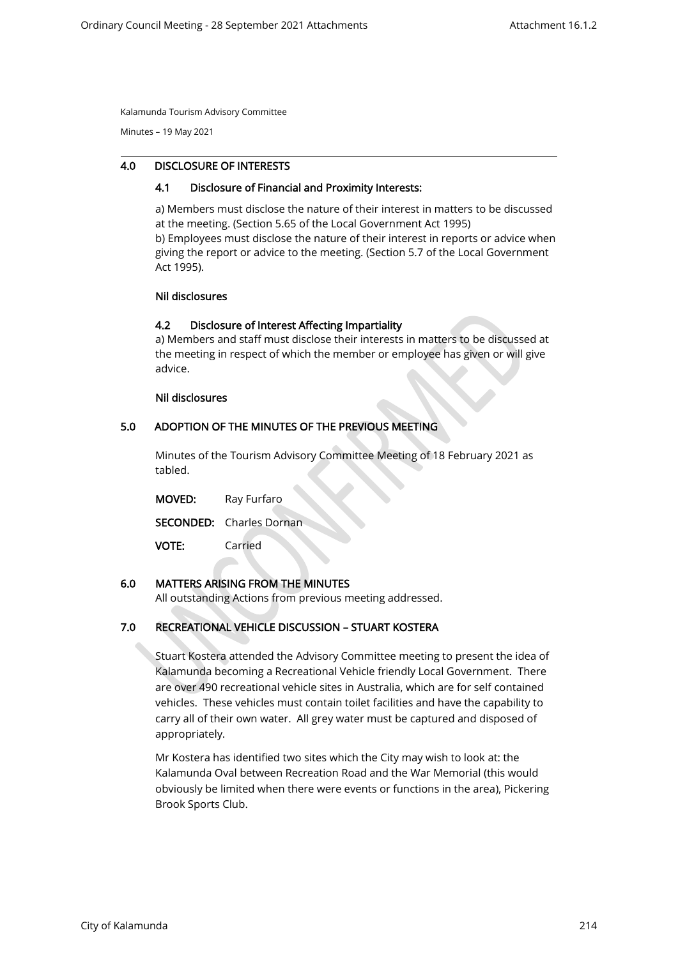Minutes – 19 May 2021

#### 4.0 DISCLOSURE OF INTERESTS

#### 4.1 Disclosure of Financial and Proximity Interests:

a) Members must disclose the nature of their interest in matters to be discussed at the meeting. (Section 5.65 of the Local Government Act 1995) b) Employees must disclose the nature of their interest in reports or advice when giving the report or advice to the meeting. (Section 5.7 of the Local Government Act 1995).

#### Nil disclosures

### 4.2 Disclosure of Interest Affecting Impartiality

a) Members and staff must disclose their interests in matters to be discussed at the meeting in respect of which the member or employee has given or will give advice.

#### Nil disclosures

#### 5.0 ADOPTION OF THE MINUTES OF THE PREVIOUS MEETING

Minutes of the Tourism Advisory Committee Meeting of 18 February 2021 as tabled.

| <b>MOVED:</b> | Ray Furfaro                     |  |
|---------------|---------------------------------|--|
|               | <b>SECONDED:</b> Charles Dornan |  |
| <b>VOTE:</b>  | Carried                         |  |

## 6.0 MATTERS ARISING FROM THE MINUTES

All outstanding Actions from previous meeting addressed.

## 7.0 RECREATIONAL VEHICLE DISCUSSION – STUART KOSTERA

Stuart Kostera attended the Advisory Committee meeting to present the idea of Kalamunda becoming a Recreational Vehicle friendly Local Government. There are over 490 recreational vehicle sites in Australia, which are for self contained vehicles. These vehicles must contain toilet facilities and have the capability to carry all of their own water. All grey water must be captured and disposed of appropriately.

Mr Kostera has identified two sites which the City may wish to look at: the Kalamunda Oval between Recreation Road and the War Memorial (this would obviously be limited when there were events or functions in the area), Pickering Brook Sports Club.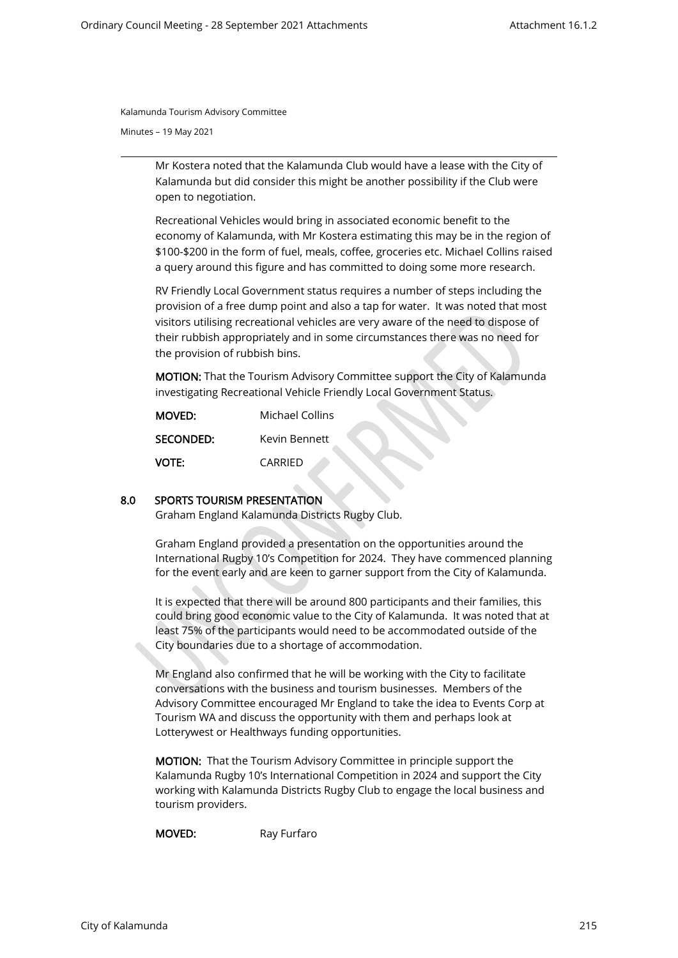Minutes – 19 May 2021

Mr Kostera noted that the Kalamunda Club would have a lease with the City of Kalamunda but did consider this might be another possibility if the Club were open to negotiation.

Recreational Vehicles would bring in associated economic benefit to the economy of Kalamunda, with Mr Kostera estimating this may be in the region of \$100-\$200 in the form of fuel, meals, coffee, groceries etc. Michael Collins raised a query around this figure and has committed to doing some more research.

RV Friendly Local Government status requires a number of steps including the provision of a free dump point and also a tap for water. It was noted that most visitors utilising recreational vehicles are very aware of the need to dispose of their rubbish appropriately and in some circumstances there was no need for the provision of rubbish bins.

MOTION: That the Tourism Advisory Committee support the City of Kalamunda investigating Recreational Vehicle Friendly Local Government Status.

| <b>MOVED:</b> | Michael Collins |  |
|---------------|-----------------|--|
| SECONDED:     | Kevin Bennett   |  |
| <b>VOTE:</b>  | CARRIFD         |  |

## 8.0 SPORTS TOURISM PRESENTATION

Graham England Kalamunda Districts Rugby Club.

Graham England provided a presentation on the opportunities around the International Rugby 10's Competition for 2024. They have commenced planning for the event early and are keen to garner support from the City of Kalamunda.

It is expected that there will be around 800 participants and their families, this could bring good economic value to the City of Kalamunda. It was noted that at least 75% of the participants would need to be accommodated outside of the City boundaries due to a shortage of accommodation.

Mr England also confirmed that he will be working with the City to facilitate conversations with the business and tourism businesses. Members of the Advisory Committee encouraged Mr England to take the idea to Events Corp at Tourism WA and discuss the opportunity with them and perhaps look at Lotterywest or Healthways funding opportunities.

MOTION: That the Tourism Advisory Committee in principle support the Kalamunda Rugby 10's International Competition in 2024 and support the City working with Kalamunda Districts Rugby Club to engage the local business and tourism providers.

MOVED: Ray Furfaro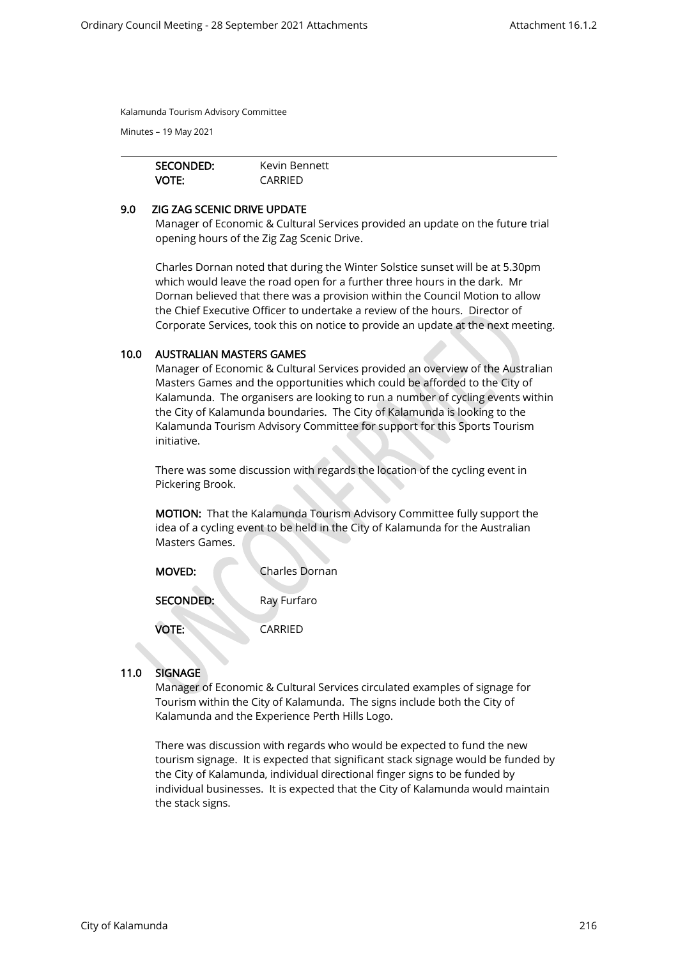Minutes – 19 May 2021

| SECONDED:    | Kevin Bennett |  |
|--------------|---------------|--|
| <b>VOTE:</b> | CARRIFD       |  |

#### 9.0 ZIG ZAG SCENIC DRIVE UPDATE

Manager of Economic & Cultural Services provided an update on the future trial opening hours of the Zig Zag Scenic Drive.

Charles Dornan noted that during the Winter Solstice sunset will be at 5.30pm which would leave the road open for a further three hours in the dark. Mr Dornan believed that there was a provision within the Council Motion to allow the Chief Executive Officer to undertake a review of the hours. Director of Corporate Services, took this on notice to provide an update at the next meeting.

### 10.0 AUSTRALIAN MASTERS GAMES

Manager of Economic & Cultural Services provided an overview of the Australian Masters Games and the opportunities which could be afforded to the City of Kalamunda. The organisers are looking to run a number of cycling events within the City of Kalamunda boundaries. The City of Kalamunda is looking to the Kalamunda Tourism Advisory Committee for support for this Sports Tourism initiative.

There was some discussion with regards the location of the cycling event in Pickering Brook.

MOTION: That the Kalamunda Tourism Advisory Committee fully support the idea of a cycling event to be held in the City of Kalamunda for the Australian Masters Games.

| <b>MOVED:</b>    | Charles Dornan |  |
|------------------|----------------|--|
| <b>SECONDED:</b> | Ray Furfaro    |  |
| <b>VOTE:</b>     | CARRIFD        |  |

## 11.0 SIGNAGE

Manager of Economic & Cultural Services circulated examples of signage for Tourism within the City of Kalamunda. The signs include both the City of Kalamunda and the Experience Perth Hills Logo.

There was discussion with regards who would be expected to fund the new tourism signage. It is expected that significant stack signage would be funded by the City of Kalamunda, individual directional finger signs to be funded by individual businesses. It is expected that the City of Kalamunda would maintain the stack signs.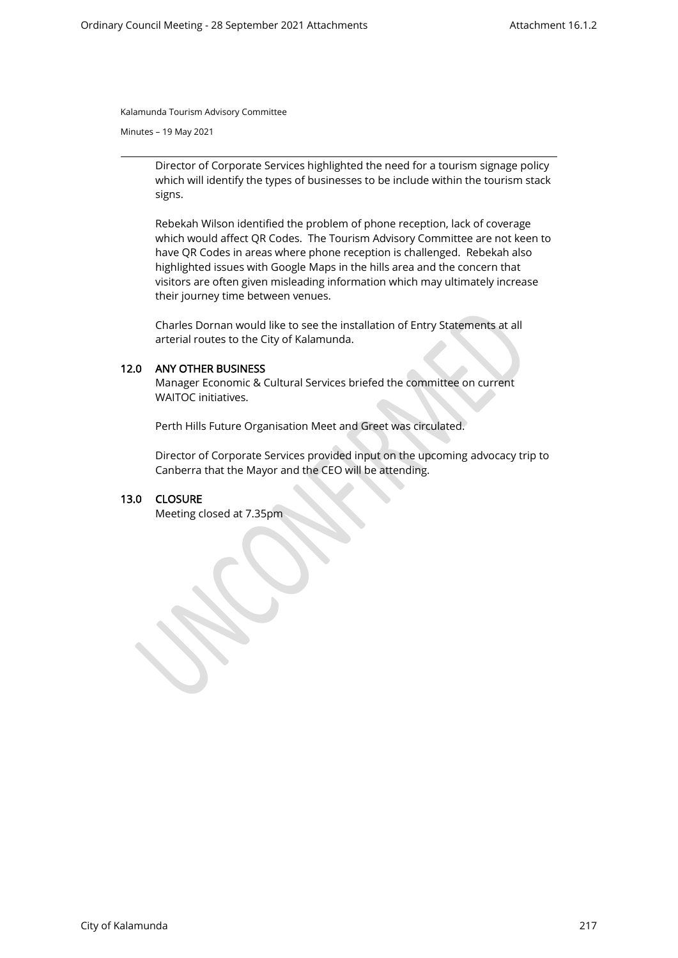Minutes – 19 May 2021

Director of Corporate Services highlighted the need for a tourism signage policy which will identify the types of businesses to be include within the tourism stack signs.

Rebekah Wilson identified the problem of phone reception, lack of coverage which would affect QR Codes. The Tourism Advisory Committee are not keen to have QR Codes in areas where phone reception is challenged. Rebekah also highlighted issues with Google Maps in the hills area and the concern that visitors are often given misleading information which may ultimately increase their journey time between venues.

Charles Dornan would like to see the installation of Entry Statements at all arterial routes to the City of Kalamunda.

### 12.0 ANY OTHER BUSINESS

Manager Economic & Cultural Services briefed the committee on current WAITOC initiatives.

Perth Hills Future Organisation Meet and Greet was circulated.

Director of Corporate Services provided input on the upcoming advocacy trip to Canberra that the Mayor and the CEO will be attending.

#### 13.0 CLOSURE

Meeting closed at 7.35pm